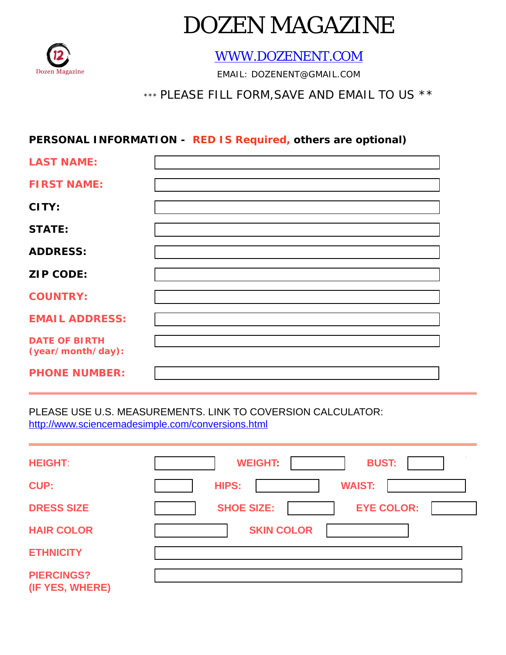

# DOZEN MAGAZINE

[WWW.DOZENENT.COM](http://WWW.DOZENENT.COM)

EMAIL: DOZENENT@GMAIL.COM

## \*\*\* PLEASE FILL FORM,SAVE AND EMAIL TO US \*\*

### **PERSONAL INFORMATION - RED IS Required, others are optional)**

| <b>LAST NAME:</b>                         |  |
|-------------------------------------------|--|
| <b>FIRST NAME:</b>                        |  |
| CITY:                                     |  |
| <b>STATE:</b>                             |  |
| <b>ADDRESS:</b>                           |  |
| <b>ZIP CODE:</b>                          |  |
| <b>COUNTRY:</b>                           |  |
| <b>EMAIL ADDRESS:</b>                     |  |
| <b>DATE OF BIRTH</b><br>(year/month/day): |  |
| <b>PHONE NUMBER:</b>                      |  |

PLEASE USE U.S. MEASUREMENTS. LINK TO COVERSION CALCULATOR: <http://www.sciencemadesimple.com/conversions.html>

| <b>HEIGHT:</b>                       | <b>BUST:</b><br><b>WEIGHT:</b>         |
|--------------------------------------|----------------------------------------|
| <b>CUP:</b>                          | <b>WAIST:</b><br><b>HIPS:</b>          |
| <b>DRESS SIZE</b>                    | <b>EYE COLOR:</b><br><b>SHOE SIZE:</b> |
| <b>HAIR COLOR</b>                    | <b>SKIN COLOR</b>                      |
| <b>ETHNICITY</b>                     |                                        |
| <b>PIERCINGS?</b><br>(IF YES, WHERE) |                                        |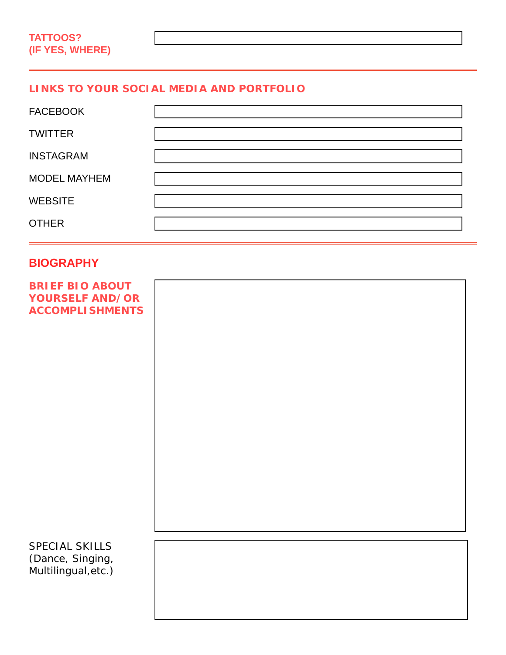#### **LINKS TO YOUR SOCIAL MEDIA AND PORTFOLIO**

| <b>FACEBOOK</b>     |  |
|---------------------|--|
| <b>TWITTER</b>      |  |
| <b>INSTAGRAM</b>    |  |
| <b>MODEL MAYHEM</b> |  |
| <b>WEBSITE</b>      |  |
| <b>OTHER</b>        |  |

#### **BIOGRAPHY**

| <b>BRIEF BIO ABOUT</b><br><b>YOURSELF AND/OR</b><br><b>ACCOMPLISHMENTS</b> |  |
|----------------------------------------------------------------------------|--|
|                                                                            |  |
|                                                                            |  |
|                                                                            |  |
|                                                                            |  |
| SPECIAL SKILLS<br>(Dance, Singing,<br>Multilingual, etc.)                  |  |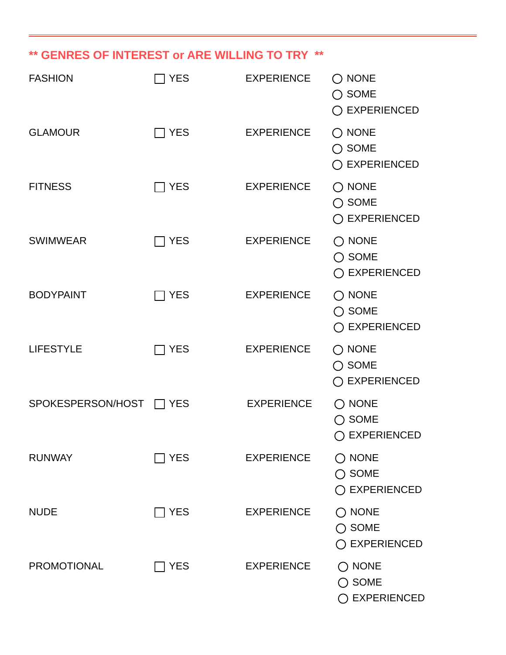# **\*\* GENRES OF INTEREST or ARE WILLING TO TRY \*\***

| <b>FASHION</b>     | <b>YES</b>   | <b>EXPERIENCE</b> | $\bigcirc$ none<br>$\bigcirc$ some<br>$\bigcirc$ EXPERIENCED |
|--------------------|--------------|-------------------|--------------------------------------------------------------|
| <b>GLAMOUR</b>     | <b>YES</b>   | <b>EXPERIENCE</b> | $\bigcirc$ NONE<br>$\bigcirc$ SOME<br>◯ EXPERIENCED          |
| <b>FITNESS</b>     | $\sqcap$ YES | <b>EXPERIENCE</b> | $\bigcirc$ none<br>$\bigcirc$ SOME<br>◯ EXPERIENCED          |
| <b>SWIMWEAR</b>    | <b>YES</b>   | <b>EXPERIENCE</b> | $\bigcirc$ NONE<br>$\bigcirc$ SOME<br>◯ EXPERIENCED          |
| <b>BODYPAINT</b>   | $\sqcap$ YES | <b>EXPERIENCE</b> | $\bigcirc$ none<br>$\bigcirc$ SOME<br>◯ EXPERIENCED          |
| <b>LIFESTYLE</b>   | <b>YES</b>   | <b>EXPERIENCE</b> | $\bigcirc$ none<br>$\bigcirc$ SOME<br>◯ EXPERIENCED          |
| SPOKESPERSON/HOST  | YES          | <b>EXPERIENCE</b> | $\bigcirc$ NONE<br>$\bigcirc$ SOME<br>$\bigcirc$ experienced |
| <b>RUNWAY</b>      | <b>YES</b>   | <b>EXPERIENCE</b> | $\bigcirc$ none<br>$\bigcirc$ some<br>$\bigcirc$ EXPERIENCED |
| <b>NUDE</b>        | <b>YES</b>   | <b>EXPERIENCE</b> | $\bigcirc$ none<br>$\bigcirc$ some<br>$\bigcirc$ EXPERIENCED |
| <b>PROMOTIONAL</b> | <b>YES</b>   | <b>EXPERIENCE</b> | $\bigcirc$ none<br><b>SOME</b><br><b>EXPERIENCED</b>         |